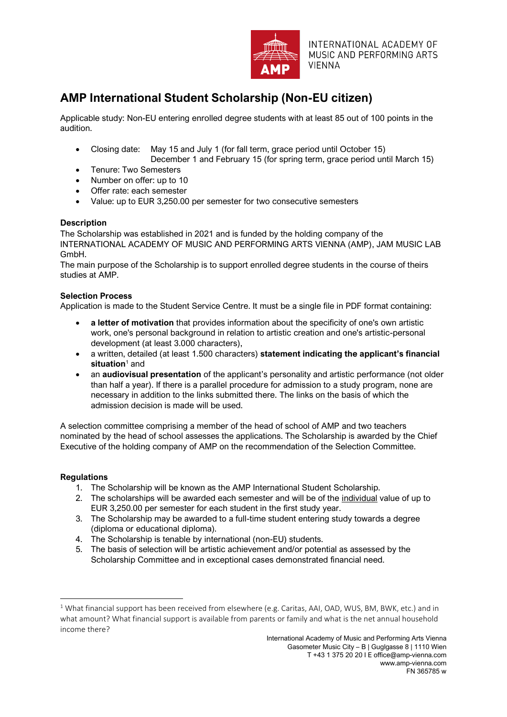

INTERNATIONAL ACADEMY OF MUSIC AND PERFORMING ARTS **VIENNA** 

# **AMP International Student Scholarship (Non-EU citizen)**

Applicable study: Non-EU entering enrolled degree students with at least 85 out of 100 points in the audition.

- Closing date: May 15 and July 1 (for fall term, grace period until October 15)
	- December 1 and February 15 (for spring term, grace period until March 15)
- Tenure: Two Semesters
- Number on offer: up to 10
- Offer rate: each semester
- Value: up to EUR 3,250.00 per semester for two consecutive semesters

## **Description**

The Scholarship was established in 2021 and is funded by the holding company of the INTERNATIONAL ACADEMY OF MUSIC AND PERFORMING ARTS VIENNA (AMP), JAM MUSIC LAB GmbH.

The main purpose of the Scholarship is to support enrolled degree students in the course of theirs studies at AMP.

## **Selection Process**

Application is made to the Student Service Centre. It must be a single file in PDF format containing:

- **a letter of motivation** that provides information about the specificity of one's own artistic work, one's personal background in relation to artistic creation and one's artistic-personal development (at least 3.000 characters),
- a written, detailed (at least 1.500 characters) **statement indicating the applicant's financial situation**<sup>1</sup> and
- an **audiovisual presentation** of the applicant's personality and artistic performance (not older than half a year). If there is a parallel procedure for admission to a study program, none are necessary in addition to the links submitted there. The links on the basis of which the admission decision is made will be used.

A selection committee comprising a member of the head of school of AMP and two teachers nominated by the head of school assesses the applications. The Scholarship is awarded by the Chief Executive of the holding company of AMP on the recommendation of the Selection Committee.

## **Regulations**

- 1. The Scholarship will be known as the AMP International Student Scholarship.
- 2. The scholarships will be awarded each semester and will be of the individual value of up to EUR 3,250.00 per semester for each student in the first study year.
- 3. The Scholarship may be awarded to a full-time student entering study towards a degree (diploma or educational diploma).
- 4. The Scholarship is tenable by international (non-EU) students.
- 5. The basis of selection will be artistic achievement and/or potential as assessed by the Scholarship Committee and in exceptional cases demonstrated financial need.

**<sup>.</sup>** <sup>1</sup> What financial support has been received from elsewhere (e.g. Caritas, AAI, OAD, WUS, BM, BWK, etc.) and in what amount? What financial support is available from parents or family and what is the net annual household income there?